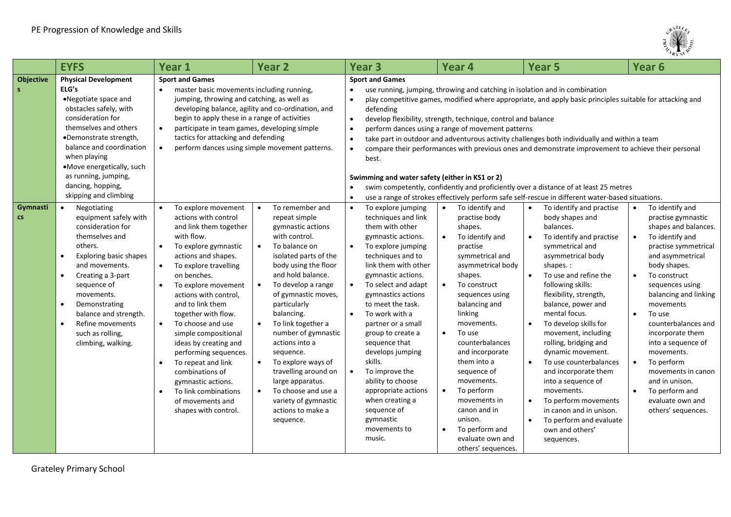

|                                  | <b>EYFS</b>                                                                                                                                                                                                                                                                                                                                                   | <b>Year 1</b>                                                                                                                                                                                                                                                                                                                                                                                                                                                                                                                                                                         | <b>Year 2</b>                                                                                                                                                                                                                                                                                                                                                                                                                                                                                                                                         | <b>Year 3</b>                                                                                                                                                                                                                                                                                                                                                                                                                                                                                                                            | <b>Year 4</b>                                                                                                                                                                                                                                                                                                                                                                                                                                                                                                                                                                               | <b>Year 5</b>                                                                                                                                                                                                                                                                                                                                                                                                                                                                                                                                              | Year <sub>6</sub>                                                                                                                                                                                                                                                                                                                                                                                                                                                                                              |  |
|----------------------------------|---------------------------------------------------------------------------------------------------------------------------------------------------------------------------------------------------------------------------------------------------------------------------------------------------------------------------------------------------------------|---------------------------------------------------------------------------------------------------------------------------------------------------------------------------------------------------------------------------------------------------------------------------------------------------------------------------------------------------------------------------------------------------------------------------------------------------------------------------------------------------------------------------------------------------------------------------------------|-------------------------------------------------------------------------------------------------------------------------------------------------------------------------------------------------------------------------------------------------------------------------------------------------------------------------------------------------------------------------------------------------------------------------------------------------------------------------------------------------------------------------------------------------------|------------------------------------------------------------------------------------------------------------------------------------------------------------------------------------------------------------------------------------------------------------------------------------------------------------------------------------------------------------------------------------------------------------------------------------------------------------------------------------------------------------------------------------------|---------------------------------------------------------------------------------------------------------------------------------------------------------------------------------------------------------------------------------------------------------------------------------------------------------------------------------------------------------------------------------------------------------------------------------------------------------------------------------------------------------------------------------------------------------------------------------------------|------------------------------------------------------------------------------------------------------------------------------------------------------------------------------------------------------------------------------------------------------------------------------------------------------------------------------------------------------------------------------------------------------------------------------------------------------------------------------------------------------------------------------------------------------------|----------------------------------------------------------------------------------------------------------------------------------------------------------------------------------------------------------------------------------------------------------------------------------------------------------------------------------------------------------------------------------------------------------------------------------------------------------------------------------------------------------------|--|
| <b>Objective</b><br>$\mathsf{s}$ | <b>Physical Development</b><br>ELG's<br>•Negotiate space and<br>obstacles safely, with<br>consideration for<br>themselves and others<br>•Demonstrate strength,<br>balance and coordination<br>when playing<br>•Move energetically, such<br>as running, jumping,<br>dancing, hopping,<br>skipping and climbing                                                 | <b>Sport and Games</b><br>master basic movements including running,<br>jumping, throwing and catching, as well as<br>begin to apply these in a range of activities<br>participate in team games, developing simple<br>tactics for attacking and defending<br>$\bullet$                                                                                                                                                                                                                                                                                                                | developing balance, agility and co-ordination, and<br>perform dances using simple movement patterns.                                                                                                                                                                                                                                                                                                                                                                                                                                                  | <b>Sport and Games</b><br>defending<br>develop flexibility, strength, technique, control and balance<br>$\bullet$<br>perform dances using a range of movement patterns<br>best.<br>Swimming and water safety (either in KS1 or 2)                                                                                                                                                                                                                                                                                                        | use running, jumping, throwing and catching in isolation and in combination<br>play competitive games, modified where appropriate, and apply basic principles suitable for attacking and<br>take part in outdoor and adventurous activity challenges both individually and within a team<br>compare their performances with previous ones and demonstrate improvement to achieve their personal<br>swim competently, confidently and proficiently over a distance of at least 25 metres<br>use a range of strokes effectively perform safe self-rescue in different water-based situations. |                                                                                                                                                                                                                                                                                                                                                                                                                                                                                                                                                            |                                                                                                                                                                                                                                                                                                                                                                                                                                                                                                                |  |
| Gymnasti<br>$\mathsf{cs}$        | Negotiating<br>$\bullet$<br>equipment safely with<br>consideration for<br>themselves and<br>others.<br>Exploring basic shapes<br>$\bullet$<br>and movements.<br>Creating a 3-part<br>$\bullet$<br>sequence of<br>movements.<br>Demonstrating<br>$\bullet$<br>balance and strength.<br>Refine movements<br>$\bullet$<br>such as rolling,<br>climbing, walking. | To explore movement<br>$\bullet$<br>actions with control<br>and link them together<br>with flow.<br>$\bullet$<br>To explore gymnastic<br>actions and shapes.<br>To explore travelling<br>$\bullet$<br>on benches.<br>To explore movement<br>actions with control.<br>and to link them<br>together with flow.<br>To choose and use<br>$\bullet$<br>simple compositional<br>ideas by creating and<br>performing sequences.<br>$\bullet$<br>To repeat and link<br>combinations of<br>gymnastic actions.<br>To link combinations<br>$\bullet$<br>of movements and<br>shapes with control. | To remember and<br>$\bullet$<br>repeat simple<br>gymnastic actions<br>with control.<br>$\bullet$<br>To balance on<br>isolated parts of the<br>body using the floor<br>and hold balance.<br>To develop a range<br>$\bullet$<br>of gymnastic moves,<br>particularly<br>balancing.<br>$\bullet$<br>To link together a<br>number of gymnastic<br>actions into a<br>sequence.<br>$\bullet$<br>To explore ways of<br>travelling around on<br>large apparatus.<br>To choose and use a<br>$\bullet$<br>variety of gymnastic<br>actions to make a<br>sequence. | To explore jumping<br>$\bullet$<br>techniques and link<br>them with other<br>gymnastic actions.<br>$\bullet$<br>To explore jumping<br>techniques and to<br>link them with other<br>gymnastic actions.<br>To select and adapt<br>gymnastics actions<br>to meet the task.<br>To work with a<br>partner or a small<br>group to create a<br>sequence that<br>develops jumping<br>skills.<br>To improve the<br>$\bullet$<br>ability to choose<br>appropriate actions<br>when creating a<br>sequence of<br>gymnastic<br>movements to<br>music. | To identify and<br>practise body<br>shapes.<br>To identify and<br>practise<br>symmetrical and<br>asymmetrical body<br>shapes.<br>To construct<br>sequences using<br>balancing and<br>linking<br>movements.<br>To use<br>counterbalances<br>and incorporate<br>them into a<br>sequence of<br>movements.<br>To perform<br>movements in<br>canon and in<br>unison.<br>To perform and<br>evaluate own and<br>others' sequences.                                                                                                                                                                 | To identify and practise<br>body shapes and<br>balances.<br>To identify and practise<br>symmetrical and<br>asymmetrical body<br>shapes.:<br>To use and refine the<br>following skills:<br>flexibility, strength,<br>balance, power and<br>mental focus.<br>To develop skills for<br>movement, including<br>rolling, bridging and<br>dynamic movement.<br>To use counterbalances<br>and incorporate them<br>into a sequence of<br>movements.<br>To perform movements<br>in canon and in unison.<br>To perform and evaluate<br>own and others'<br>sequences. | To identify and<br>$\bullet$<br>practise gymnastic<br>shapes and balances.<br>To identify and<br>$\bullet$<br>practise symmetrical<br>and asymmetrical<br>body shapes.<br>To construct<br>$\bullet$<br>sequences using<br>balancing and linking<br>movements<br>To use<br>$\bullet$<br>counterbalances and<br>incorporate them<br>into a sequence of<br>movements.<br>To perform<br>$\bullet$<br>movements in canon<br>and in unison.<br>To perform and<br>$\bullet$<br>evaluate own and<br>others' sequences. |  |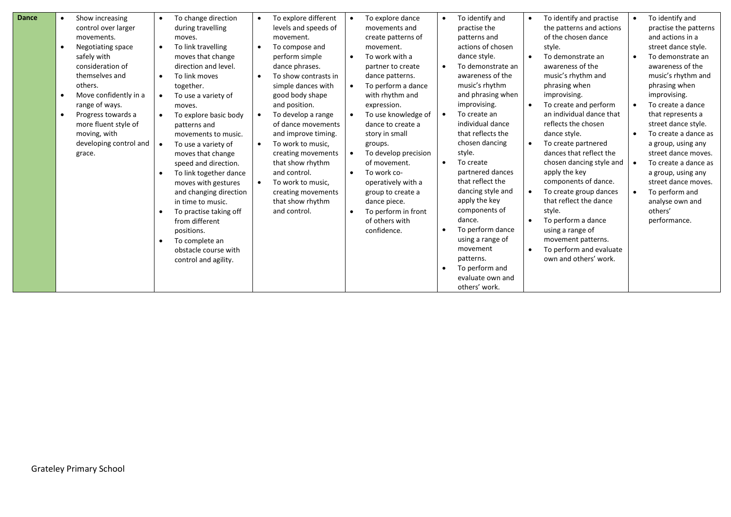| <b>Dance</b> | Show increasing<br>$\bullet$    | To change direction<br>$\bullet$   | $\bullet$ | To explore different | $\bullet$ | To explore dance     | $\bullet$ | To identify and              | $\bullet$ | To identify and practise | $\bullet$ | To identify and       |
|--------------|---------------------------------|------------------------------------|-----------|----------------------|-----------|----------------------|-----------|------------------------------|-----------|--------------------------|-----------|-----------------------|
|              | control over larger             | during travelling                  |           | levels and speeds of |           | movements and        |           | practise the                 |           | the patterns and actions |           | practise the patterns |
|              | movements.                      | moves.                             |           | movement.            |           | create patterns of   |           | patterns and                 |           | of the chosen dance      |           | and actions in a      |
|              | Negotiating space<br>$\bullet$  | To link travelling<br>$\bullet$    | $\bullet$ | To compose and       |           | movement.            |           | actions of chosen            |           | style.                   |           | street dance style.   |
|              | safely with                     | moves that change                  |           | perform simple       | $\bullet$ | To work with a       |           | dance style.                 | $\bullet$ | To demonstrate an        |           | To demonstrate an     |
|              | consideration of                | direction and level.               |           | dance phrases.       |           | partner to create    |           | To demonstrate an            |           | awareness of the         |           | awareness of the      |
|              | themselves and                  | To link moves<br>$\bullet$         |           | To show contrasts in |           | dance patterns.      |           | awareness of the             |           | music's rhythm and       |           | music's rhythm and    |
|              | others.                         | together.                          |           | simple dances with   |           | To perform a dance   |           | music's rhythm               |           | phrasing when            |           | phrasing when         |
|              | Move confidently in a           | To use a variety of<br>$\bullet$   |           | good body shape      |           | with rhythm and      |           | and phrasing when            |           | improvising.             |           | improvising.          |
|              | range of ways.                  | moves.                             |           | and position.        |           | expression.          |           | improvising.                 | $\bullet$ | To create and perform    | $\bullet$ | To create a dance     |
|              | Progress towards a<br>$\bullet$ | To explore basic body<br>$\bullet$ |           | To develop a range   |           | To use knowledge of  |           | To create an                 |           | an individual dance that |           | that represents a     |
|              | more fluent style of            | patterns and                       |           | of dance movements   |           | dance to create a    |           | individual dance             |           | reflects the chosen      |           | street dance style.   |
|              | moving, with                    | movements to music.                |           | and improve timing.  |           | story in small       |           | that reflects the            |           | dance style.             | $\bullet$ | To create a dance as  |
|              | developing control and          | To use a variety of                |           | To work to music,    |           | groups.              |           | chosen dancing               | $\bullet$ | To create partnered      |           | a group, using any    |
|              | grace.                          | moves that change                  |           | creating movements   |           | To develop precision |           | style.                       |           | dances that reflect the  |           | street dance moves.   |
|              |                                 | speed and direction.               |           | that show rhythm     |           | of movement.         | $\bullet$ | To create                    |           | chosen dancing style and |           | To create a dance as  |
|              |                                 | To link together dance             |           | and control.         | $\bullet$ | To work co-          |           | partnered dances             |           | apply the key            |           | a group, using any    |
|              |                                 | moves with gestures                |           | To work to music,    |           | operatively with a   |           | that reflect the             |           | components of dance.     |           | street dance moves.   |
|              |                                 | and changing direction             |           | creating movements   |           | group to create a    |           | dancing style and            | $\bullet$ | To create group dances   | $\bullet$ | To perform and        |
|              |                                 | in time to music.                  |           | that show rhythm     |           | dance piece.         |           | apply the key                |           | that reflect the dance   |           | analyse own and       |
|              |                                 | To practise taking off             |           | and control.         |           | To perform in front  |           | components of                |           | style.                   |           | others'               |
|              |                                 | from different                     |           |                      |           | of others with       |           | dance.                       | $\bullet$ | To perform a dance       |           | performance.          |
|              |                                 | positions.                         |           |                      |           | confidence.          |           | To perform dance             |           | using a range of         |           |                       |
|              |                                 | To complete an                     |           |                      |           |                      |           | using a range of<br>movement |           | movement patterns.       |           |                       |
|              |                                 | obstacle course with               |           |                      |           |                      |           | patterns.                    | $\bullet$ | To perform and evaluate  |           |                       |
|              |                                 | control and agility.               |           |                      |           |                      |           | To perform and               |           | own and others' work.    |           |                       |
|              |                                 |                                    |           |                      |           |                      |           | evaluate own and             |           |                          |           |                       |
|              |                                 |                                    |           |                      |           |                      |           | others' work.                |           |                          |           |                       |
|              |                                 |                                    |           |                      |           |                      |           |                              |           |                          |           |                       |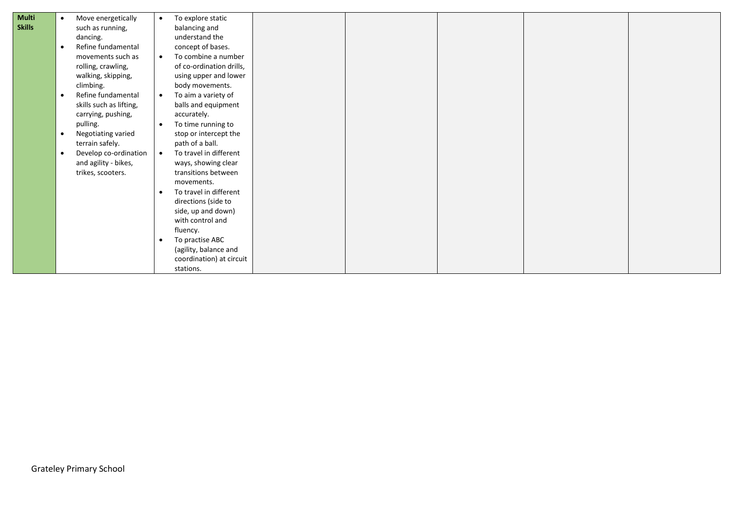| <b>Multi</b><br><b>Skills</b> | Move energetically<br>$\bullet$<br>such as running,<br>dancing.<br>Refine fundamental<br>$\bullet$<br>movements such as<br>rolling, crawling,<br>walking, skipping,<br>climbing.<br>Refine fundamental<br>$\bullet$<br>skills such as lifting,<br>carrying, pushing,<br>pulling.<br>Negotiating varied<br>$\bullet$<br>terrain safely.<br>Develop co-ordination<br>$\bullet$<br>and agility - bikes,<br>trikes, scooters. | $\bullet$<br>$\bullet$<br>$\bullet$<br>$\bullet$<br>$\bullet$<br>$\bullet$ | To explore static<br>balancing and<br>understand the<br>concept of bases.<br>To combine a number<br>of co-ordination drills,<br>using upper and lower<br>body movements.<br>To aim a variety of<br>balls and equipment<br>accurately.<br>To time running to<br>stop or intercept the<br>path of a ball.<br>To travel in different<br>ways, showing clear<br>transitions between<br>movements.<br>To travel in different<br>directions (side to |  |  |  |
|-------------------------------|---------------------------------------------------------------------------------------------------------------------------------------------------------------------------------------------------------------------------------------------------------------------------------------------------------------------------------------------------------------------------------------------------------------------------|----------------------------------------------------------------------------|------------------------------------------------------------------------------------------------------------------------------------------------------------------------------------------------------------------------------------------------------------------------------------------------------------------------------------------------------------------------------------------------------------------------------------------------|--|--|--|
|                               |                                                                                                                                                                                                                                                                                                                                                                                                                           | $\bullet$                                                                  | side, up and down)<br>with control and<br>fluency.<br>To practise ABC<br>(agility, balance and<br>coordination) at circuit<br>stations.                                                                                                                                                                                                                                                                                                        |  |  |  |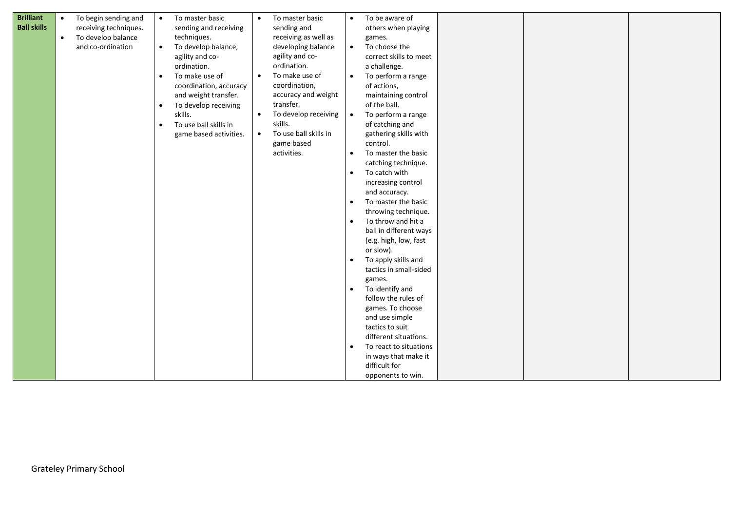| <b>Brilliant</b><br><b>Ball skills</b> | $\bullet$<br>$\bullet$ | To begin sending and<br>receiving techniques.<br>To develop balance<br>and co-ordination | $\bullet$<br>$\bullet$<br>$\bullet$<br>$\bullet$<br>$\bullet$ | To master basic<br>sending and receiving<br>techniques.<br>To develop balance,<br>agility and co-<br>ordination.<br>To make use of<br>coordination, accuracy<br>and weight transfer.<br>To develop receiving<br>skills.<br>To use ball skills in<br>game based activities. | $\bullet$<br>$\bullet$<br>$\bullet$<br>$\bullet$ | To master basic<br>sending and<br>receiving as well as<br>developing balance<br>agility and co-<br>ordination.<br>To make use of<br>coordination,<br>accuracy and weight<br>transfer.<br>To develop receiving<br>skills.<br>To use ball skills in<br>game based<br>activities. | $\bullet$<br>$\bullet$<br>$\bullet$<br>$\bullet$<br>$\bullet$<br>$\bullet$<br>$\bullet$<br>$\bullet$<br>$\bullet$<br>$\bullet$<br>$\bullet$ | To be aware of<br>others when playing<br>games.<br>To choose the<br>correct skills to meet<br>a challenge.<br>To perform a range<br>of actions,<br>maintaining control<br>of the ball.<br>To perform a range<br>of catching and<br>gathering skills with<br>control.<br>To master the basic<br>catching technique.<br>To catch with<br>increasing control<br>and accuracy.<br>To master the basic<br>throwing technique.<br>To throw and hit a<br>ball in different ways<br>(e.g. high, low, fast<br>or slow).<br>To apply skills and<br>tactics in small-sided<br>games.<br>To identify and<br>follow the rules of<br>games. To choose<br>and use simple<br>tactics to suit<br>different situations.<br>To react to situations<br>in ways that make it<br>difficult for<br>opponents to win. |  |  |
|----------------------------------------|------------------------|------------------------------------------------------------------------------------------|---------------------------------------------------------------|----------------------------------------------------------------------------------------------------------------------------------------------------------------------------------------------------------------------------------------------------------------------------|--------------------------------------------------|--------------------------------------------------------------------------------------------------------------------------------------------------------------------------------------------------------------------------------------------------------------------------------|---------------------------------------------------------------------------------------------------------------------------------------------|-----------------------------------------------------------------------------------------------------------------------------------------------------------------------------------------------------------------------------------------------------------------------------------------------------------------------------------------------------------------------------------------------------------------------------------------------------------------------------------------------------------------------------------------------------------------------------------------------------------------------------------------------------------------------------------------------------------------------------------------------------------------------------------------------|--|--|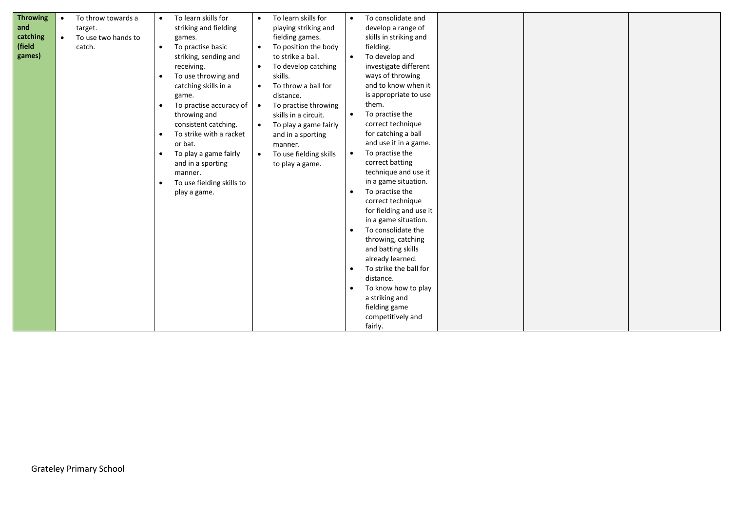| <b>Throwing</b> | $\bullet$ | To throw towards a  | $\bullet$ | To learn skills for       | $\bullet$ | To learn skills for    | $\bullet$ | To consolidate and      |  |  |
|-----------------|-----------|---------------------|-----------|---------------------------|-----------|------------------------|-----------|-------------------------|--|--|
| and             |           | target.             |           | striking and fielding     |           | playing striking and   |           | develop a range of      |  |  |
| catching        | $\bullet$ | To use two hands to |           | games.                    |           | fielding games.        |           | skills in striking and  |  |  |
| (field          |           | catch.              | $\bullet$ | To practise basic         | $\bullet$ | To position the body   |           | fielding.               |  |  |
| games)          |           |                     |           | striking, sending and     |           | to strike a ball.      | $\bullet$ | To develop and          |  |  |
|                 |           |                     |           | receiving.                | $\bullet$ | To develop catching    |           | investigate different   |  |  |
|                 |           |                     | $\bullet$ | To use throwing and       |           | skills.                |           | ways of throwing        |  |  |
|                 |           |                     |           | catching skills in a      | $\bullet$ | To throw a ball for    |           | and to know when it     |  |  |
|                 |           |                     |           | game.                     |           | distance.              |           | is appropriate to use   |  |  |
|                 |           |                     | $\bullet$ | To practise accuracy of   | $\bullet$ | To practise throwing   |           | them.                   |  |  |
|                 |           |                     |           | throwing and              |           | skills in a circuit.   | $\bullet$ | To practise the         |  |  |
|                 |           |                     |           | consistent catching.      | $\bullet$ | To play a game fairly  |           | correct technique       |  |  |
|                 |           |                     | $\bullet$ | To strike with a racket   |           | and in a sporting      |           | for catching a ball     |  |  |
|                 |           |                     |           | or bat.                   |           | manner.                |           | and use it in a game.   |  |  |
|                 |           |                     | $\bullet$ | To play a game fairly     | $\bullet$ | To use fielding skills | $\bullet$ | To practise the         |  |  |
|                 |           |                     |           | and in a sporting         |           | to play a game.        |           | correct batting         |  |  |
|                 |           |                     |           | manner.                   |           |                        |           | technique and use it    |  |  |
|                 |           |                     | $\bullet$ | To use fielding skills to |           |                        |           | in a game situation.    |  |  |
|                 |           |                     |           | play a game.              |           |                        |           | To practise the         |  |  |
|                 |           |                     |           |                           |           |                        |           | correct technique       |  |  |
|                 |           |                     |           |                           |           |                        |           | for fielding and use it |  |  |
|                 |           |                     |           |                           |           |                        |           | in a game situation.    |  |  |
|                 |           |                     |           |                           |           |                        |           | To consolidate the      |  |  |
|                 |           |                     |           |                           |           |                        |           | throwing, catching      |  |  |
|                 |           |                     |           |                           |           |                        |           | and batting skills      |  |  |
|                 |           |                     |           |                           |           |                        |           | already learned.        |  |  |
|                 |           |                     |           |                           |           |                        | $\bullet$ | To strike the ball for  |  |  |
|                 |           |                     |           |                           |           |                        |           | distance.               |  |  |
|                 |           |                     |           |                           |           |                        | $\bullet$ | To know how to play     |  |  |
|                 |           |                     |           |                           |           |                        |           | a striking and          |  |  |
|                 |           |                     |           |                           |           |                        |           | fielding game           |  |  |
|                 |           |                     |           |                           |           |                        |           | competitively and       |  |  |
|                 |           |                     |           |                           |           |                        |           |                         |  |  |
|                 |           |                     |           |                           |           |                        |           | fairly.                 |  |  |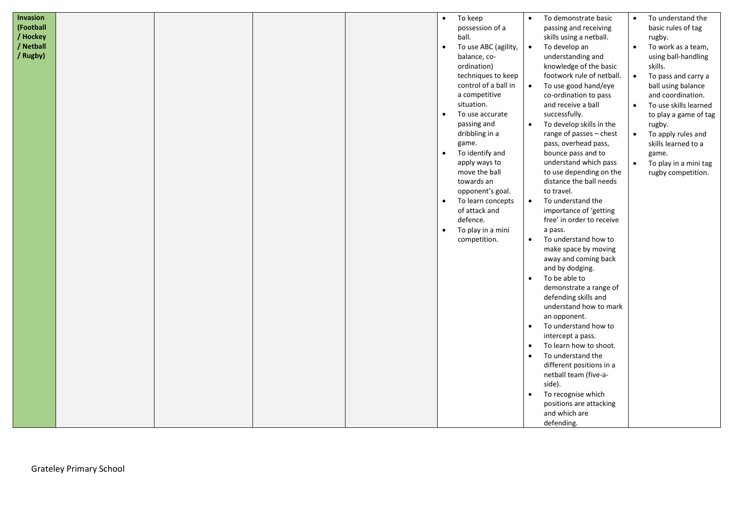| Invasion  |  |  | $\bullet$ | To keep              | $\bullet$ | To demonstrate basic      |           | To understand the     |
|-----------|--|--|-----------|----------------------|-----------|---------------------------|-----------|-----------------------|
| (Football |  |  |           | possession of a      |           | passing and receiving     |           | basic rules of tag    |
| / Hockey  |  |  |           | ball.                |           | skills using a netball.   |           | rugby.                |
| / Netball |  |  | $\bullet$ | To use ABC (agility, | $\bullet$ | To develop an             | $\bullet$ | To work as a team,    |
| / Rugby)  |  |  |           | balance, co-         |           | understanding and         |           | using ball-handling   |
|           |  |  |           | ordination)          |           | knowledge of the basic    |           | skills.               |
|           |  |  |           | techniques to keep   |           | footwork rule of netball. | $\bullet$ | To pass and carry a   |
|           |  |  |           | control of a ball in | $\bullet$ | To use good hand/eye      |           | ball using balance    |
|           |  |  |           | a competitive        |           | co-ordination to pass     |           | and coordination.     |
|           |  |  |           | situation.           |           | and receive a ball        | $\bullet$ | To use skills learned |
|           |  |  | $\bullet$ | To use accurate      |           | successfully.             |           | to play a game of tag |
|           |  |  |           | passing and          | $\bullet$ | To develop skills in the  |           | rugby.                |
|           |  |  |           | dribbling in a       |           | range of passes - chest   | $\bullet$ | To apply rules and    |
|           |  |  |           | game.                |           | pass, overhead pass,      |           | skills learned to a   |
|           |  |  | $\bullet$ | To identify and      |           | bounce pass and to        |           | game.                 |
|           |  |  |           | apply ways to        |           | understand which pass     | $\bullet$ | To play in a mini tag |
|           |  |  |           | move the ball        |           | to use depending on the   |           | rugby competition.    |
|           |  |  |           | towards an           |           | distance the ball needs   |           |                       |
|           |  |  |           | opponent's goal.     |           | to travel.                |           |                       |
|           |  |  | $\bullet$ | To learn concepts    | $\bullet$ | To understand the         |           |                       |
|           |  |  |           | of attack and        |           | importance of 'getting    |           |                       |
|           |  |  |           | defence.             |           | free' in order to receive |           |                       |
|           |  |  | $\bullet$ | To play in a mini    |           | a pass.                   |           |                       |
|           |  |  |           | competition.         | $\bullet$ | To understand how to      |           |                       |
|           |  |  |           |                      |           | make space by moving      |           |                       |
|           |  |  |           |                      |           | away and coming back      |           |                       |
|           |  |  |           |                      |           | and by dodging.           |           |                       |
|           |  |  |           |                      | $\bullet$ | To be able to             |           |                       |
|           |  |  |           |                      |           | demonstrate a range of    |           |                       |
|           |  |  |           |                      |           | defending skills and      |           |                       |
|           |  |  |           |                      |           | understand how to mark    |           |                       |
|           |  |  |           |                      |           | an opponent.              |           |                       |
|           |  |  |           |                      | $\bullet$ | To understand how to      |           |                       |
|           |  |  |           |                      |           | intercept a pass.         |           |                       |
|           |  |  |           |                      | $\bullet$ | To learn how to shoot.    |           |                       |
|           |  |  |           |                      | $\bullet$ | To understand the         |           |                       |
|           |  |  |           |                      |           | different positions in a  |           |                       |
|           |  |  |           |                      |           | netball team (five-a-     |           |                       |
|           |  |  |           |                      |           | side).                    |           |                       |
|           |  |  |           |                      | $\bullet$ | To recognise which        |           |                       |
|           |  |  |           |                      |           | positions are attacking   |           |                       |
|           |  |  |           |                      |           | and which are             |           |                       |
|           |  |  |           |                      |           | defending.                |           |                       |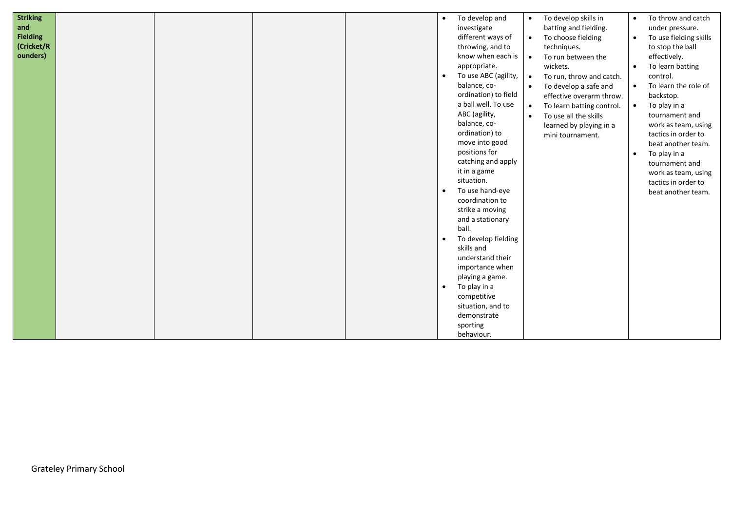| <b>Striking</b> |  | $\bullet$ | To develop and       | $\bullet$ | To develop skills in      | $\bullet$ | To throw and catch     |
|-----------------|--|-----------|----------------------|-----------|---------------------------|-----------|------------------------|
| and             |  |           | investigate          |           | batting and fielding.     |           | under pressure.        |
| <b>Fielding</b> |  |           |                      |           |                           |           |                        |
|                 |  |           | different ways of    | $\bullet$ | To choose fielding        | $\bullet$ | To use fielding skills |
| (Cricket/R      |  |           | throwing, and to     |           | techniques.               |           | to stop the ball       |
| ounders)        |  |           | know when each is    | $\bullet$ | To run between the        |           | effectively.           |
|                 |  |           | appropriate.         |           | wickets.                  | $\bullet$ | To learn batting       |
|                 |  | $\bullet$ | To use ABC (agility, | $\bullet$ | To run, throw and catch.  |           | control.               |
|                 |  |           | balance, co-         | $\bullet$ | To develop a safe and     | $\bullet$ | To learn the role of   |
|                 |  |           | ordination) to field |           | effective overarm throw.  |           | backstop.              |
|                 |  |           | a ball well. To use  | $\bullet$ | To learn batting control. | $\bullet$ | To play in a           |
|                 |  |           | ABC (agility,        | $\bullet$ | To use all the skills     |           | tournament and         |
|                 |  |           | balance, co-         |           | learned by playing in a   |           | work as team, using    |
|                 |  |           | ordination) to       |           | mini tournament.          |           | tactics in order to    |
|                 |  |           | move into good       |           |                           |           | beat another team.     |
|                 |  |           | positions for        |           |                           | $\bullet$ | To play in a           |
|                 |  |           | catching and apply   |           |                           |           | tournament and         |
|                 |  |           | it in a game         |           |                           |           |                        |
|                 |  |           | situation.           |           |                           |           | work as team, using    |
|                 |  |           |                      |           |                           |           | tactics in order to    |
|                 |  | $\bullet$ | To use hand-eye      |           |                           |           | beat another team.     |
|                 |  |           | coordination to      |           |                           |           |                        |
|                 |  |           | strike a moving      |           |                           |           |                        |
|                 |  |           | and a stationary     |           |                           |           |                        |
|                 |  |           | ball.                |           |                           |           |                        |
|                 |  | $\bullet$ | To develop fielding  |           |                           |           |                        |
|                 |  |           | skills and           |           |                           |           |                        |
|                 |  |           | understand their     |           |                           |           |                        |
|                 |  |           | importance when      |           |                           |           |                        |
|                 |  |           | playing a game.      |           |                           |           |                        |
|                 |  | $\bullet$ | To play in a         |           |                           |           |                        |
|                 |  |           | competitive          |           |                           |           |                        |
|                 |  |           | situation, and to    |           |                           |           |                        |
|                 |  |           | demonstrate          |           |                           |           |                        |
|                 |  |           | sporting             |           |                           |           |                        |
|                 |  |           | behaviour.           |           |                           |           |                        |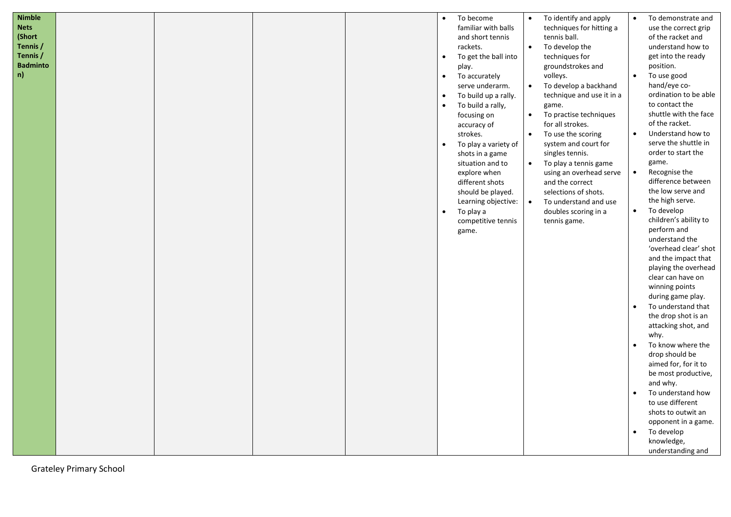| <b>Nimble</b>   |  |  | $\bullet$ | To become            | $\bullet$ | To identify and apply     | $\bullet$ | To demonstrate and                        |
|-----------------|--|--|-----------|----------------------|-----------|---------------------------|-----------|-------------------------------------------|
| <b>Nets</b>     |  |  |           | familiar with balls  |           | techniques for hitting a  |           | use the correct grip                      |
| (Short          |  |  |           | and short tennis     |           | tennis ball.              |           | of the racket and                         |
| Tennis /        |  |  |           | rackets.             | $\bullet$ | To develop the            |           | understand how to                         |
| Tennis /        |  |  | $\bullet$ | To get the ball into |           | techniques for            |           | get into the ready                        |
| <b>Badminto</b> |  |  |           | play.                |           | groundstrokes and         |           | position.                                 |
| n)              |  |  | $\bullet$ | To accurately        |           | volleys.                  | $\bullet$ | To use good                               |
|                 |  |  |           | serve underarm.      | $\bullet$ | To develop a backhand     |           | hand/eye co-                              |
|                 |  |  | $\bullet$ | To build up a rally. |           | technique and use it in a |           | ordination to be able                     |
|                 |  |  |           | To build a rally,    |           | game.                     |           | to contact the                            |
|                 |  |  |           | focusing on          | $\bullet$ | To practise techniques    |           | shuttle with the face                     |
|                 |  |  |           | accuracy of          |           | for all strokes.          |           | of the racket.                            |
|                 |  |  |           | strokes.             | $\bullet$ | To use the scoring        | $\bullet$ | Understand how to                         |
|                 |  |  | $\bullet$ | To play a variety of |           | system and court for      |           | serve the shuttle in                      |
|                 |  |  |           | shots in a game      |           | singles tennis.           |           | order to start the                        |
|                 |  |  |           | situation and to     | $\bullet$ | To play a tennis game     |           | game.                                     |
|                 |  |  |           | explore when         |           | using an overhead serve   | $\bullet$ | Recognise the                             |
|                 |  |  |           | different shots      |           | and the correct           |           | difference between                        |
|                 |  |  |           | should be played.    |           | selections of shots.      |           | the low serve and                         |
|                 |  |  |           | Learning objective:  | $\bullet$ | To understand and use     |           | the high serve.                           |
|                 |  |  | $\bullet$ | To play a            |           | doubles scoring in a      | $\bullet$ | To develop                                |
|                 |  |  |           | competitive tennis   |           | tennis game.              |           | children's ability to                     |
|                 |  |  |           | game.                |           |                           |           | perform and                               |
|                 |  |  |           |                      |           |                           |           | understand the                            |
|                 |  |  |           |                      |           |                           |           | 'overhead clear' shot                     |
|                 |  |  |           |                      |           |                           |           | and the impact that                       |
|                 |  |  |           |                      |           |                           |           | playing the overhead                      |
|                 |  |  |           |                      |           |                           |           | clear can have on                         |
|                 |  |  |           |                      |           |                           |           | winning points                            |
|                 |  |  |           |                      |           |                           |           | during game play.                         |
|                 |  |  |           |                      |           |                           |           | To understand that<br>the drop shot is an |
|                 |  |  |           |                      |           |                           |           |                                           |
|                 |  |  |           |                      |           |                           |           | attacking shot, and<br>why.               |
|                 |  |  |           |                      |           |                           | $\bullet$ | To know where the                         |
|                 |  |  |           |                      |           |                           |           | drop should be                            |
|                 |  |  |           |                      |           |                           |           | aimed for, for it to                      |
|                 |  |  |           |                      |           |                           |           | be most productive,                       |
|                 |  |  |           |                      |           |                           |           | and why.                                  |
|                 |  |  |           |                      |           |                           | $\bullet$ | To understand how                         |
|                 |  |  |           |                      |           |                           |           | to use different                          |
|                 |  |  |           |                      |           |                           |           | shots to outwit an                        |
|                 |  |  |           |                      |           |                           |           | opponent in a game.                       |
|                 |  |  |           |                      |           |                           |           | To develop                                |
|                 |  |  |           |                      |           |                           |           | knowledge,                                |
|                 |  |  |           |                      |           |                           |           | understanding and                         |